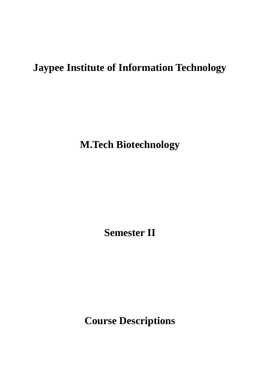# **Jaypee Institute of Information Technology**

**M.Tech Biotechnology**

**Semester II**

**Course Descriptions**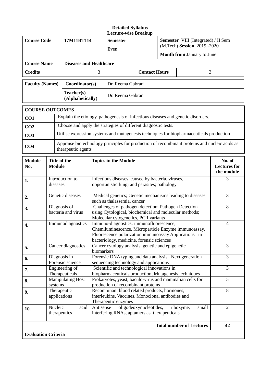| <b>Course Code</b>         |                                    | 17M11BT114                       |                                                                                                                                                                                                            | Little whit Detain<br><b>Semester</b><br>Even                                                                             |                                             | <b>Semester</b> VIII (Integrated) / II Sem<br>(M.Tech) Session 2019 -2020 |                                                                                               |                |  |
|----------------------------|------------------------------------|----------------------------------|------------------------------------------------------------------------------------------------------------------------------------------------------------------------------------------------------------|---------------------------------------------------------------------------------------------------------------------------|---------------------------------------------|---------------------------------------------------------------------------|-----------------------------------------------------------------------------------------------|----------------|--|
|                            |                                    |                                  |                                                                                                                                                                                                            |                                                                                                                           |                                             |                                                                           | <b>Month from January to June</b>                                                             |                |  |
| <b>Course Name</b>         |                                    | <b>Diseases and Healthcare</b>   |                                                                                                                                                                                                            |                                                                                                                           |                                             |                                                                           |                                                                                               |                |  |
| <b>Credits</b>             |                                    |                                  | 3                                                                                                                                                                                                          |                                                                                                                           | <b>Contact Hours</b>                        |                                                                           | 3                                                                                             |                |  |
| <b>Faculty (Names)</b>     |                                    | Coordinator(s)                   |                                                                                                                                                                                                            | Dr. Reema Gabrani                                                                                                         |                                             |                                                                           |                                                                                               |                |  |
|                            |                                    | Teacher(s)<br>(Alphabetically)   |                                                                                                                                                                                                            | Dr. Reema Gabrani                                                                                                         |                                             |                                                                           |                                                                                               |                |  |
| <b>COURSE OUTCOMES</b>     |                                    |                                  |                                                                                                                                                                                                            |                                                                                                                           |                                             |                                                                           |                                                                                               |                |  |
| CO1                        |                                    |                                  |                                                                                                                                                                                                            |                                                                                                                           |                                             |                                                                           | Explain the etiology, pathogenesis of infectious diseases and genetic disorders.              |                |  |
| CO <sub>2</sub>            |                                    |                                  |                                                                                                                                                                                                            | Choose and apply the strategies of different diagnostic tests.                                                            |                                             |                                                                           |                                                                                               |                |  |
| CO <sub>3</sub>            |                                    |                                  |                                                                                                                                                                                                            |                                                                                                                           |                                             |                                                                           | Utilise expression systems and mutagenesis techniques for biopharmaceuticals production       |                |  |
| CO <sub>4</sub>            |                                    | therapeutic agents               |                                                                                                                                                                                                            |                                                                                                                           |                                             |                                                                           | Appraise biotechnology principles for production of recombinant proteins and nucleic acids as |                |  |
| <b>Module</b><br>No.       | Title of the<br><b>Module</b>      |                                  |                                                                                                                                                                                                            | <b>Topics in the Module</b>                                                                                               | No. of<br><b>Lectures</b> for<br>the module |                                                                           |                                                                                               |                |  |
| 1.                         | Introduction to<br>diseases        |                                  | Infectious diseases caused by bacteria, viruses,<br>opportunistic fungi and parasites; pathology                                                                                                           |                                                                                                                           |                                             |                                                                           |                                                                                               | 3              |  |
| 2.                         | Genetic diseases                   |                                  | Medical genetics; Genetic mechanisms leading to diseases<br>such as thalassemia, cancer                                                                                                                    |                                                                                                                           |                                             |                                                                           |                                                                                               | 3              |  |
| 3.                         | Diagnosis of<br>bacteria and virus |                                  | Challenges of pathogen detection; Pathogen Detection<br>using Cytological, biochemical and molecular methods;<br>Molecular cytogenetics, PCR variants                                                      |                                                                                                                           |                                             |                                                                           |                                                                                               | 8              |  |
| Immunodiagnostics<br>4.    |                                    |                                  | Immuno-diagnostics: immunofluorescence,<br>4<br>Chemiluminescence, Microparticle Enzyme immunoassay,<br>Fluorescence polarization immunoassay Applications in<br>bacteriology, medicine, forensic sciences |                                                                                                                           |                                             |                                                                           |                                                                                               |                |  |
| 5.                         | Cancer diagnostics                 |                                  |                                                                                                                                                                                                            | Cancer cytology analysis, genetic and epigenetic<br>biomarkers                                                            |                                             |                                                                           |                                                                                               |                |  |
| 6.                         |                                    | Diagnosis in<br>Forensic science | Forensic DNA typing and data analysis, Next generation<br>sequencing technology and applications                                                                                                           |                                                                                                                           |                                             |                                                                           |                                                                                               | 3              |  |
| 7.                         |                                    | Engineering of<br>Therapeuticals |                                                                                                                                                                                                            | Scientific and technological innovations in<br>biopharmaceuticals production, Mutagenesis techniques                      | $\overline{3}$                              |                                                                           |                                                                                               |                |  |
| 8.                         | systems                            | <b>Manipulating Host</b>         |                                                                                                                                                                                                            | Prokaryotes, yeast, baculo-virus and mammalian cells for<br>production of recombinant proteins                            |                                             |                                                                           |                                                                                               | 5              |  |
| 9.                         |                                    | Therapeutic<br>applications      |                                                                                                                                                                                                            | Recombinant blood related products, hormones,<br>interleukins, Vaccines, Monoclonal antibodies and<br>Therapeutic enzymes |                                             |                                                                           |                                                                                               | 8              |  |
| 10.                        | Nucleic                            | acid<br>therapeutics             | Antisense                                                                                                                                                                                                  | interfering RNAs, aptamers as therapeuticals                                                                              | oligodeoxynucleotides,                      |                                                                           | ribozyme,<br>small                                                                            | $\overline{2}$ |  |
|                            |                                    |                                  |                                                                                                                                                                                                            |                                                                                                                           |                                             |                                                                           | <b>Total number of Lectures</b>                                                               | 42             |  |
| <b>Evaluation Criteria</b> |                                    |                                  |                                                                                                                                                                                                            |                                                                                                                           |                                             |                                                                           |                                                                                               |                |  |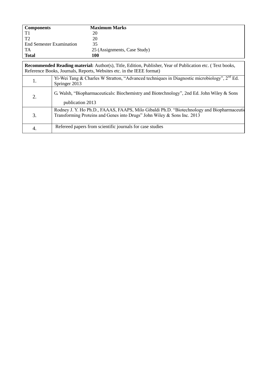| <b>Components</b>                                                                                                                                                                         | <b>Maximum Marks</b>         |  |  |  |
|-------------------------------------------------------------------------------------------------------------------------------------------------------------------------------------------|------------------------------|--|--|--|
| T1                                                                                                                                                                                        | 20                           |  |  |  |
| T <sub>2</sub>                                                                                                                                                                            | 20                           |  |  |  |
| End Semester Examination                                                                                                                                                                  | 35                           |  |  |  |
| TA                                                                                                                                                                                        | 25 (Assignments, Case Study) |  |  |  |
| <b>Total</b>                                                                                                                                                                              | 100                          |  |  |  |
| <b>Recommended Reading material:</b> Author(s), Title, Edition, Publisher, Year of Publication etc. (Text books,<br>Reference Books, Journals, Reports, Websites etc. in the IEEE format) |                              |  |  |  |

|    | Reference DOORS, JOULITALS, Reports, Websites etc. In the IEEE TOFINAL                                                                                                |
|----|-----------------------------------------------------------------------------------------------------------------------------------------------------------------------|
| Ī. | Yi-Wei Tang & Charles W Stratton, "Advanced techniques in Diagnostic microbiology", 2 <sup>nd</sup> Ed.<br>Springer 2013                                              |
|    | G. Walsh, "Biopharmaceuticals: Biochemistry and Biotechnology", 2nd Ed. John Wiley & Sons<br>publication 2013                                                         |
| 3. | Rodney J. Y. Ho Ph.D., FAAAS, FAAPS, Milo Gibaldi Ph.D. "Biotechnology and Biopharmaceutic<br>Transforming Proteins and Genes into Drugs" John Wiley & Sons Inc. 2013 |
| 4. | Refereed papers from scientific journals for case studies                                                                                                             |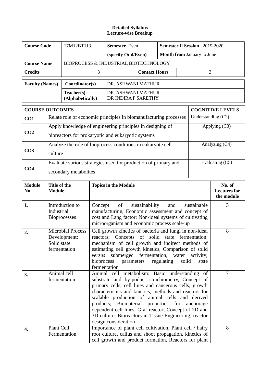| <b>Course Code</b>     |                                                                                                                                                                                                                                                                                                                                                                                                                                                                                                       | 17M12BT113                                               | <b>Semester</b> Even                                                                                                                                                                                                |                                                                                                                                                                                                                                                                                                        |                      |            | <b>Semester II Session</b> 2019-2020 |                    |                                             |
|------------------------|-------------------------------------------------------------------------------------------------------------------------------------------------------------------------------------------------------------------------------------------------------------------------------------------------------------------------------------------------------------------------------------------------------------------------------------------------------------------------------------------------------|----------------------------------------------------------|---------------------------------------------------------------------------------------------------------------------------------------------------------------------------------------------------------------------|--------------------------------------------------------------------------------------------------------------------------------------------------------------------------------------------------------------------------------------------------------------------------------------------------------|----------------------|------------|--------------------------------------|--------------------|---------------------------------------------|
|                        |                                                                                                                                                                                                                                                                                                                                                                                                                                                                                                       |                                                          |                                                                                                                                                                                                                     | (specify Odd/Even)                                                                                                                                                                                                                                                                                     |                      |            | Month from January to June           |                    |                                             |
| <b>Course Name</b>     |                                                                                                                                                                                                                                                                                                                                                                                                                                                                                                       |                                                          |                                                                                                                                                                                                                     | BIOPROCESS & INDUSTRIAL BIOTECHNOLOGY                                                                                                                                                                                                                                                                  |                      |            |                                      |                    |                                             |
| <b>Credits</b>         |                                                                                                                                                                                                                                                                                                                                                                                                                                                                                                       |                                                          | 3                                                                                                                                                                                                                   |                                                                                                                                                                                                                                                                                                        | <b>Contact Hours</b> |            |                                      | 3                  |                                             |
| <b>Faculty (Names)</b> |                                                                                                                                                                                                                                                                                                                                                                                                                                                                                                       | Coordinator(s)                                           |                                                                                                                                                                                                                     | DR. ASHWANI MATHUR                                                                                                                                                                                                                                                                                     |                      |            |                                      |                    |                                             |
|                        |                                                                                                                                                                                                                                                                                                                                                                                                                                                                                                       | Teacher(s)<br>(Alphabetically)                           |                                                                                                                                                                                                                     | DR. ASHWANI MATHUR<br>DR INDIRA P SARETHY                                                                                                                                                                                                                                                              |                      |            |                                      |                    |                                             |
| <b>COURSE OUTCOMES</b> |                                                                                                                                                                                                                                                                                                                                                                                                                                                                                                       |                                                          |                                                                                                                                                                                                                     |                                                                                                                                                                                                                                                                                                        |                      |            |                                      |                    | <b>COGNITIVE LEVELS</b>                     |
| CO1                    |                                                                                                                                                                                                                                                                                                                                                                                                                                                                                                       |                                                          |                                                                                                                                                                                                                     | Relate role of economic principles in biomanufacturing processes                                                                                                                                                                                                                                       |                      |            |                                      | Understanding (C2) |                                             |
|                        |                                                                                                                                                                                                                                                                                                                                                                                                                                                                                                       |                                                          |                                                                                                                                                                                                                     | Apply knowledge of engineering principles in designing of                                                                                                                                                                                                                                              |                      |            |                                      |                    | Applying (C3)                               |
| CO <sub>2</sub>        |                                                                                                                                                                                                                                                                                                                                                                                                                                                                                                       |                                                          |                                                                                                                                                                                                                     | bioreactors for prokaryotic and eukaryotic systems                                                                                                                                                                                                                                                     |                      |            |                                      |                    |                                             |
|                        |                                                                                                                                                                                                                                                                                                                                                                                                                                                                                                       |                                                          |                                                                                                                                                                                                                     | Analyze the role of bioprocess conditions in eukaryote cell                                                                                                                                                                                                                                            |                      |            |                                      |                    | Analyzing (C4)                              |
| CO <sub>3</sub>        | culture                                                                                                                                                                                                                                                                                                                                                                                                                                                                                               |                                                          |                                                                                                                                                                                                                     |                                                                                                                                                                                                                                                                                                        |                      |            |                                      |                    |                                             |
|                        |                                                                                                                                                                                                                                                                                                                                                                                                                                                                                                       |                                                          |                                                                                                                                                                                                                     | Evaluate various strategies used for production of primary and                                                                                                                                                                                                                                         |                      |            |                                      | Evaluating (C5)    |                                             |
| CO <sub>4</sub>        | secondary metabolites                                                                                                                                                                                                                                                                                                                                                                                                                                                                                 |                                                          |                                                                                                                                                                                                                     |                                                                                                                                                                                                                                                                                                        |                      |            |                                      |                    |                                             |
| <b>Module</b><br>No.   | Title of the<br><b>Module</b>                                                                                                                                                                                                                                                                                                                                                                                                                                                                         |                                                          |                                                                                                                                                                                                                     | <b>Topics in the Module</b>                                                                                                                                                                                                                                                                            |                      |            |                                      |                    | No. of<br><b>Lectures for</b><br>the module |
| 1.                     | Introduction to<br>Industrial<br><b>Bioprocesses</b>                                                                                                                                                                                                                                                                                                                                                                                                                                                  |                                                          | Concept<br>of<br>sustainability<br>sustainable<br>and<br>manufacturing, Economic assessment and concept of<br>cost and Lang factor; Non-ideal systems of cultivating<br>microorganism and economic process scale-up |                                                                                                                                                                                                                                                                                                        |                      |            |                                      | 3                  |                                             |
| 2.                     | Solid state                                                                                                                                                                                                                                                                                                                                                                                                                                                                                           | <b>Microbial Process</b><br>Development:<br>fermentation | bioprocess                                                                                                                                                                                                          | Cell growth kinetics of bacteria and fungi in non-ideal<br>reactors; Concepts of solid state fermentation;<br>mechanism of cell growth and indirect methods of<br>estimating cell growth kinetics, Comparison of solid<br>versus submerged fermentation; water activity;<br>parameters<br>fermentation |                      | regulating | solid                                | stste              | 8                                           |
| 3.                     | Animal cell<br>Animal cell metabolism: Basic understanding of<br>fermentation<br>substrate and by-poduct stoichiometry, Concept of<br>primary cells, cell lines and cancerous cells; growth<br>characteristics and kinetics, methods and reactors for<br>scalable production of animal cells and derived<br>products; Biomaterial properties for anchorage<br>dependent cell lines; Graf reactor; Concept of 2D and<br>3D culture, Bioreactors in Tissue Engineering, reactor<br>design consideration |                                                          |                                                                                                                                                                                                                     |                                                                                                                                                                                                                                                                                                        |                      | 7          |                                      |                    |                                             |
|                        | Plant Cell                                                                                                                                                                                                                                                                                                                                                                                                                                                                                            |                                                          |                                                                                                                                                                                                                     | Importance of plant cell cultivation, Plant cell / hairy<br>root culture, callus and shoot propagation, kinetics of<br>cell growth and product formation, Reactors for plant                                                                                                                           |                      |            |                                      | 8                  |                                             |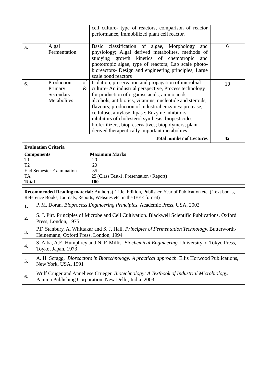|                                                                 |                                                          |                  | cell culture- type of reactors, comparison of reactor                                                                                                                                                                                                                                                                                                                                                                                                                                                   |    |
|-----------------------------------------------------------------|----------------------------------------------------------|------------------|---------------------------------------------------------------------------------------------------------------------------------------------------------------------------------------------------------------------------------------------------------------------------------------------------------------------------------------------------------------------------------------------------------------------------------------------------------------------------------------------------------|----|
|                                                                 |                                                          |                  | performance, immobilized plant cell reactor.                                                                                                                                                                                                                                                                                                                                                                                                                                                            |    |
| 5.                                                              | Algal<br>Fermentation                                    |                  | Basic classification of algae, Morphology<br>and<br>physiology; Algal derived metabolites, methods of<br>studying growth kinetics of chemotropic<br>and<br>phototropic algae, type of reactors; Lab scale photo-<br>bioreactors- Design and engineering principles, Large<br>scale pond reactors                                                                                                                                                                                                        | 6  |
| 6.                                                              | Production<br>Primary<br>Secondary<br><b>Metabolites</b> | $\sigma$<br>$\&$ | Isolation, preservation and propagation of microbial<br>culture-An industrial perspective, Process technology<br>for production of organisc acids, amino acids,<br>alcohols, antibiotics, vitamins, nucleotide and steroids,<br>flavours; production of industrial enzymes: protease,<br>cellulose, amylase, lipase; Enzyme inhibitors:<br>inhibitors of cholesterol synthesis; biopesticides,<br>biofertilizers, biopreservatives; biopolymers; plant<br>derived therapeutically important metabolites | 10 |
|                                                                 |                                                          |                  | <b>Total number of Lectures</b>                                                                                                                                                                                                                                                                                                                                                                                                                                                                         | 42 |
| <b>Evaluation Criteria</b>                                      |                                                          |                  |                                                                                                                                                                                                                                                                                                                                                                                                                                                                                                         |    |
| <b>Components</b><br>T <sub>1</sub><br>T2<br>TA<br><b>Total</b> | <b>End Semester Examination</b>                          |                  | <b>Maximum Marks</b><br>20<br>20<br>35<br>25 (Class Test-1, Presentation / Report)<br>100                                                                                                                                                                                                                                                                                                                                                                                                               |    |

**Recommended Reading material:** Author(s), Title, Edition, Publisher, Year of Publication etc. ( Text books, Reference Books, Journals, Reports, Websites etc. in the IEEE format)

| 1.           | P. M. Doran. Bioprocess Engineering Principles. Academic Press, USA, 2002                                                                         |
|--------------|---------------------------------------------------------------------------------------------------------------------------------------------------|
| $\mathbf{2}$ | S. J. Pirt. Principles of Microbe and Cell Cultivation. Blackwell Scientific Publications, Oxford<br>Press, London, 1975                          |
| 3.           | P.F. Stanbury, A. Whittakar and S. J. Hall. Principles of Fermentation Technology. Butterworth-<br>Heinemann, Oxford Press, London, 1994          |
| 4.           | S. Aiba, A.E. Humphrey and N. F. Millis. <i>Biochemical Engineering</i> . University of Tokyo Press,<br>Toyko, Japan, 1973                        |
| 5.           | A. H. Scragg. <i>Bioreactors in Biotechnology: A practical approach</i> . Ellis Horwood Publications,<br>New York, USA, 1991                      |
| 6.           | Wulf Cruger and Anneliese Crueger. Biotechnology: A Textbook of Industrial Microbiology.<br>Panima Publishing Corporation, New Delhi, India, 2003 |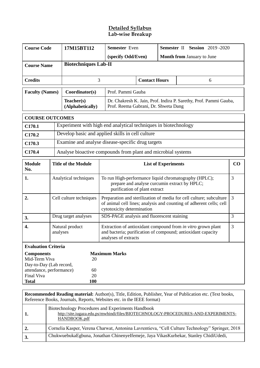## **Detailed Syllabus Lab-wise Breakup**

| <b>Course Code</b>                                                                                                                               |                                                              | 17M15BT112                                                      |                                                                                                                                         | <b>Semester</b> Even                                                                                                                                                     |  | Semester II Session 2019 -2020 |   |  |  |
|--------------------------------------------------------------------------------------------------------------------------------------------------|--------------------------------------------------------------|-----------------------------------------------------------------|-----------------------------------------------------------------------------------------------------------------------------------------|--------------------------------------------------------------------------------------------------------------------------------------------------------------------------|--|--------------------------------|---|--|--|
|                                                                                                                                                  |                                                              |                                                                 |                                                                                                                                         | <b>Month from January to June</b><br>(specify Odd/Even)                                                                                                                  |  |                                |   |  |  |
| <b>Course Name</b>                                                                                                                               |                                                              | <b>Biotechniques Lab-II</b>                                     |                                                                                                                                         |                                                                                                                                                                          |  |                                |   |  |  |
| <b>Credits</b>                                                                                                                                   |                                                              |                                                                 | 3<br><b>Contact Hours</b><br>6                                                                                                          |                                                                                                                                                                          |  |                                |   |  |  |
| <b>Faculty (Names)</b>                                                                                                                           |                                                              | Coordinator(s)                                                  | Prof. Pammi Gauba                                                                                                                       |                                                                                                                                                                          |  |                                |   |  |  |
|                                                                                                                                                  |                                                              | Teacher(s)<br>(Alphabetically)                                  |                                                                                                                                         | Dr. Chakresh K. Jain, Prof. Indira P. Sarethy, Prof. Pammi Gauba,<br>Prof. Reema Gabrani, Dr. Shweta Dang                                                                |  |                                |   |  |  |
| <b>COURSE OUTCOMES</b>                                                                                                                           |                                                              |                                                                 |                                                                                                                                         |                                                                                                                                                                          |  |                                |   |  |  |
| C170.1                                                                                                                                           |                                                              | Experiment with high end analytical techniques in biotechnology |                                                                                                                                         |                                                                                                                                                                          |  |                                |   |  |  |
| C170.2                                                                                                                                           |                                                              | Develop basic and applied skills in cell culture                |                                                                                                                                         |                                                                                                                                                                          |  |                                |   |  |  |
| C170.3                                                                                                                                           | Examine and analyse disease-specific drug targets            |                                                                 |                                                                                                                                         |                                                                                                                                                                          |  |                                |   |  |  |
| C170.4                                                                                                                                           | Analyse bioactive compounds from plant and microbial systems |                                                                 |                                                                                                                                         |                                                                                                                                                                          |  |                                |   |  |  |
| <b>Module</b><br>No.                                                                                                                             |                                                              | <b>Title of the Module</b>                                      |                                                                                                                                         | <b>List of Experiments</b>                                                                                                                                               |  |                                |   |  |  |
| 1.                                                                                                                                               |                                                              | Analytical techniques                                           | To run High-performance liquid chromatography (HPLC);<br>prepare and analyse curcumin extract by HPLC;<br>purification of plant extract |                                                                                                                                                                          |  |                                |   |  |  |
| 2.                                                                                                                                               | Cell culture techniques                                      |                                                                 |                                                                                                                                         | Preparation and sterilization of media for cell culture; subculture<br>of animal cell lines; analysis and counting of adherent cells; cell<br>cytotoxicity determination |  |                                | 3 |  |  |
| 3.                                                                                                                                               |                                                              | Drug target analyses                                            | SDS-PAGE analysis and fluorescent staining                                                                                              |                                                                                                                                                                          |  |                                |   |  |  |
| 4.                                                                                                                                               | Natural product<br>analyses                                  |                                                                 |                                                                                                                                         | Extraction of antioxidant compound from in vitro grown plant<br>and bacteria; purification of compound; antioxidant capacity<br>analyses of extracts                     |  |                                | 3 |  |  |
| <b>Evaluation Criteria</b>                                                                                                                       |                                                              |                                                                 |                                                                                                                                         |                                                                                                                                                                          |  |                                |   |  |  |
| <b>Components</b><br>Mid-Term Viva<br>20<br>Day-to-Day (Lab record,<br>attendance, performance)<br>60<br>20<br>Final Viva<br>100<br><b>Total</b> |                                                              | <b>Maximum Marks</b>                                            |                                                                                                                                         |                                                                                                                                                                          |  |                                |   |  |  |

**Recommended Reading material:** Author(s), Title, Edition, Publisher, Year of Publication etc. (Text books, Reference Books, Journals, Reports, Websites etc. in the IEEE format)

|    | Biotechnology Procedures and Experiments Handbook<br>http://site.iugaza.edu.ps/mwhindi/files/BIOTECHNOLOGY-PROCEDURES-AND-EXPERIMENTS-<br>HANDBOOK.pdf |
|----|--------------------------------------------------------------------------------------------------------------------------------------------------------|
| 2. | Cornelia Kasper, Verena Charwat, Antonina Lavrentieva, "Cell Culture Technology" Springer, 2018                                                        |
|    | ChukwuebukaEgbuna, Jonathan ChinenyeIfemeje, Jaya VikasKurhekar, Stanley ChidiUdedi,                                                                   |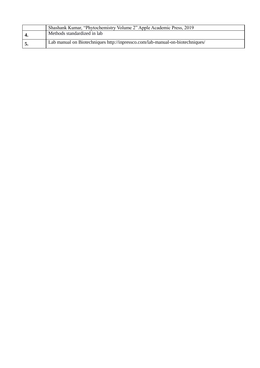| Shashank Kumar, "Phytochemistry Volume 2" Apple Academic Press, 2019          |
|-------------------------------------------------------------------------------|
| Methods standardized in lab                                                   |
| Lab manual on Biotechniques http://inpressco.com/lab-manual-on-biotechniques/ |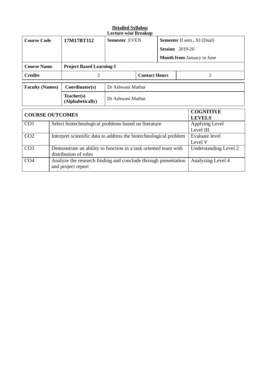|                        |                                                                                          |                                    | <b>Lecture-wise Breakup</b>                                       |                                                                |                                   |                   |                                   |
|------------------------|------------------------------------------------------------------------------------------|------------------------------------|-------------------------------------------------------------------|----------------------------------------------------------------|-----------------------------------|-------------------|-----------------------------------|
| <b>Course Code</b>     |                                                                                          | <b>Semester EVEN</b><br>17M17BT112 |                                                                   |                                                                | <b>Semester II sem, XI (Dual)</b> |                   |                                   |
|                        |                                                                                          |                                    |                                                                   |                                                                | <b>Session</b> 2019-20            |                   |                                   |
|                        |                                                                                          |                                    |                                                                   |                                                                |                                   |                   | <b>Month from January to June</b> |
| <b>Course Name</b>     |                                                                                          | <b>Project Based Learning-I</b>    |                                                                   |                                                                |                                   |                   |                                   |
| <b>Credits</b>         |                                                                                          | 2                                  | <b>Contact Hours</b>                                              |                                                                | 2                                 |                   |                                   |
| <b>Faculty (Names)</b> |                                                                                          | Coordinator(s)                     | Dr Ashwani Mathur                                                 |                                                                |                                   |                   |                                   |
|                        |                                                                                          | Teacher(s)<br>(Alphabetically)     | Dr Ashwani Mathur                                                 |                                                                |                                   |                   |                                   |
| <b>COURSE OUTCOMES</b> |                                                                                          |                                    |                                                                   |                                                                |                                   |                   | <b>COGNITIVE</b><br><b>LEVELS</b> |
| CO <sub>1</sub>        | Select biotechnological problems based on literature                                     |                                    |                                                                   |                                                                |                                   |                   | Applying Level<br>Level III       |
| CO <sub>2</sub>        |                                                                                          |                                    | Interpret scientific data to address the biotechnological problem |                                                                | Evaluate level<br>Level V         |                   |                                   |
| CO <sub>3</sub>        | Demonstrate an ability to function in a task oriented team with<br>distribution of roles |                                    |                                                                   | Understanding Level 2                                          |                                   |                   |                                   |
| CO <sub>4</sub>        | and project report                                                                       |                                    |                                                                   | Analyze the research finding and conclude through presentation |                                   | Analyzing Level 4 |                                   |

 $\overline{\phantom{a}}$ 

**Detailed Syllabus**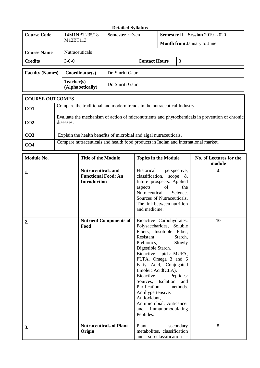|                        |                                                     | <b>Detailed Syllabus</b> |                      |                                                                            |   |
|------------------------|-----------------------------------------------------|--------------------------|----------------------|----------------------------------------------------------------------------|---|
| <b>Course Code</b>     | 14M1NBT235/18<br><b>Semester</b> : Even<br>M12BT113 |                          |                      | <b>Semester II</b> Session 2019 -2020<br><b>Month from January to June</b> |   |
| <b>Course Name</b>     | <b>Nutraceuticals</b>                               |                          |                      |                                                                            |   |
| <b>Credits</b>         | $3-0-0$                                             |                          | <b>Contact Hours</b> |                                                                            | 3 |
| <b>Faculty (Names)</b> | Coordinator(s)                                      | Dr. Smriti Gaur          |                      |                                                                            |   |
|                        | Teacher(s)<br>(Alphabetically)                      | Dr. Smriti Gaur          |                      |                                                                            |   |

|                 | <b>COURSE OUTCOMES</b>                                                                                      |  |  |  |  |
|-----------------|-------------------------------------------------------------------------------------------------------------|--|--|--|--|
| CO <sub>1</sub> | Compare the traditional and modern trends in the nutraceutical Industry.                                    |  |  |  |  |
| CO <sub>2</sub> | Evaluate the mechanism of action of micronutrients and phytochemicals in prevention of chronic<br>diseases. |  |  |  |  |
| CO <sub>3</sub> | Explain the health benefits of microbial and algal nutraceuticals.                                          |  |  |  |  |
| CO <sub>4</sub> | Compare nutraceuticals and health food products in Indian and international market.                         |  |  |  |  |

| <b>Module No.</b> | <b>Title of the Module</b>                                                     | <b>Topics in the Module</b>                                                                                                                                                                                                                                                                                                                                                                                                                                 | No. of Lectures for the<br>module |
|-------------------|--------------------------------------------------------------------------------|-------------------------------------------------------------------------------------------------------------------------------------------------------------------------------------------------------------------------------------------------------------------------------------------------------------------------------------------------------------------------------------------------------------------------------------------------------------|-----------------------------------|
| 1.                | <b>Nutraceuticals and</b><br><b>Functional Food: An</b><br><b>Introduction</b> | Historical<br>perspective,<br>classification, scope $\&$<br>future prospects. Applied<br>of<br>aspects<br>the<br>Science.<br>Nutraceutical<br>Sources of Nutraceuticals,<br>The link between nutrition<br>and medicine.                                                                                                                                                                                                                                     | 4                                 |
| 2.                | <b>Nutrient Components of</b><br>Food                                          | Bioactive Carbohydrates:<br>Polysaccharides, Soluble<br>Fibers, Insoluble Fiber,<br>Resistant<br>Starch,<br>Prebiotics,<br>Slowly<br>Digestible Starch.<br>Bioactive Lipids: MUFA,<br>PUFA, Omega 3 and 6<br>Fatty Acid, Conjugated<br>Linoleic Acid(CLA).<br><b>Bioactive</b><br>Peptides:<br>Sources, Isolation and<br>Purification<br>methods.<br>Antihypertensive,<br>Antioxidant,<br>Antimicrobial, Anticancer<br>and<br>immunomodulating<br>Peptides. | 10                                |
| 3.                | <b>Nutraceuticals of Plant</b><br>Origin                                       | Plant<br>secondary<br>metabolites, classification<br>and sub-classification -                                                                                                                                                                                                                                                                                                                                                                               | 5                                 |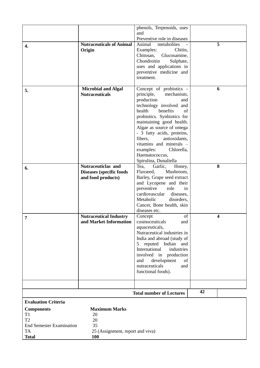|                                                                                           |                                                                            | phenols, Terpenoids, uses<br>and                                                                                                                                                                                                                                                                                                                                                 |    |   |
|-------------------------------------------------------------------------------------------|----------------------------------------------------------------------------|----------------------------------------------------------------------------------------------------------------------------------------------------------------------------------------------------------------------------------------------------------------------------------------------------------------------------------------------------------------------------------|----|---|
|                                                                                           |                                                                            | Preventive role in diseases                                                                                                                                                                                                                                                                                                                                                      |    |   |
| 4.                                                                                        | <b>Nutraceuticals of Animal</b><br>Origin                                  | Animal<br>metabolites<br>Examples:<br>Chitin,<br>Chitosan,<br>Glucosamine,<br>Chondroitin<br>Sulphate,<br>uses and applications in<br>preventive medicine and<br>treatment.                                                                                                                                                                                                      |    | 5 |
| 5.                                                                                        | <b>Microbial and Algal</b><br><b>Nutraceuticals</b>                        | Concept of probiotics -<br>principle,<br>mechanism,<br>production<br>and<br>technology involved and<br>health<br>benefits<br>of<br>probiotics. Synbiotics for<br>maintaining good health.<br>Algae as source of omega<br>- 3 fatty acids, proteins,<br>fibers,<br>antioxidants,<br>vitamins and minerals -<br>Chlorella,<br>examples:<br>Haematococcus,<br>Spirulina, Dunaliella |    | 6 |
| 6.                                                                                        | Nutraceuticlas and<br>Diseases (specific foods<br>and food products)       | Tea,<br>Garlic,<br>Honey,<br>Flaxseed,<br>Mushroom,<br>Barley, Grape seed extract<br>and Lycopene and their<br>preventive<br>role<br>in<br>cardiovascular<br>diseases,<br>Metabolic<br>disorders,<br>Cancer, Bone health, skin<br>diseases etc.                                                                                                                                  |    | 8 |
| 7                                                                                         | <b>Nutraceutical Industry</b><br>and Market Information                    | of<br>Concept<br>cosmoceuticals<br>and<br>aquaceuticals,<br>Nutraceutical industries in<br>India and abroad (study of<br>reputed Indian and<br>5 <sup>5</sup><br>International<br>industries<br>involved in production<br>development<br>and<br>of<br>nutraceuticals<br>and<br>functional foods).                                                                                |    | 4 |
|                                                                                           |                                                                            |                                                                                                                                                                                                                                                                                                                                                                                  | 42 |   |
|                                                                                           |                                                                            | <b>Total number of Lectures</b>                                                                                                                                                                                                                                                                                                                                                  |    |   |
| <b>Evaluation Criteria</b>                                                                |                                                                            |                                                                                                                                                                                                                                                                                                                                                                                  |    |   |
| <b>Components</b><br>T1<br>T <sub>2</sub><br><b>End Semester Examination</b><br><b>TA</b> | <b>Maximum Marks</b><br>20<br>20<br>35<br>25 (Assignment, report and viva) |                                                                                                                                                                                                                                                                                                                                                                                  |    |   |
| <b>Total</b>                                                                              | <b>100</b>                                                                 |                                                                                                                                                                                                                                                                                                                                                                                  |    |   |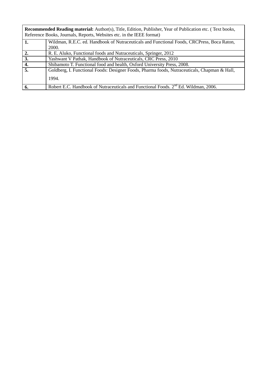|    | <b>Recommended Reading material:</b> Author(s), Title, Edition, Publisher, Year of Publication etc. (Text books,<br>Reference Books, Journals, Reports, Websites etc. in the IEEE format) |  |  |  |  |  |
|----|-------------------------------------------------------------------------------------------------------------------------------------------------------------------------------------------|--|--|--|--|--|
| 1. | Wildman, R.E.C. ed. Handbook of Nutraceuticals and Functional Foods, CRCPress, Boca Raton,                                                                                                |  |  |  |  |  |
|    | 2000.                                                                                                                                                                                     |  |  |  |  |  |
| 2. | R. E. Aluko, Functional foods and Nutraceuticals, Springer, 2012                                                                                                                          |  |  |  |  |  |
| 3. | Yashwant V Pathak, Handbook of Nutraceuticals, CRC Press, 2010                                                                                                                            |  |  |  |  |  |
| 4. | Shibamoto T. Functional food and health, Oxford University Press, 2008.                                                                                                                   |  |  |  |  |  |
| 5. | Goldberg, I. Functional Foods: Designer Foods, Pharma foods, Nutraceuticals, Chapman & Hall,                                                                                              |  |  |  |  |  |
|    | 1994.                                                                                                                                                                                     |  |  |  |  |  |
| 6. | Robert E.C. Handbook of Nutraceuticals and Functional Foods. 2 <sup>nd</sup> Ed. Wildman, 2006.                                                                                           |  |  |  |  |  |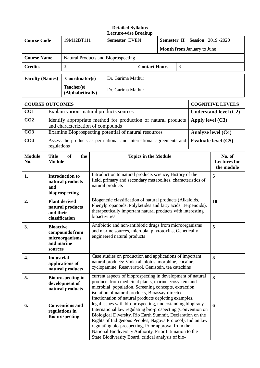| <b>Course Code</b>     |                                                                                                                                                                                                                                                                                                                                                                                                                                                                                                                                                                | 19M12BT111                                                     | Semester EVEN               |                                                                                                                                                                                                                                  | <b>Semester II Session 2019-2020</b> |   |                                             |                                   |                            |
|------------------------|----------------------------------------------------------------------------------------------------------------------------------------------------------------------------------------------------------------------------------------------------------------------------------------------------------------------------------------------------------------------------------------------------------------------------------------------------------------------------------------------------------------------------------------------------------------|----------------------------------------------------------------|-----------------------------|----------------------------------------------------------------------------------------------------------------------------------------------------------------------------------------------------------------------------------|--------------------------------------|---|---------------------------------------------|-----------------------------------|----------------------------|
|                        |                                                                                                                                                                                                                                                                                                                                                                                                                                                                                                                                                                |                                                                |                             |                                                                                                                                                                                                                                  |                                      |   |                                             | <b>Month from January to June</b> |                            |
| <b>Course Name</b>     |                                                                                                                                                                                                                                                                                                                                                                                                                                                                                                                                                                |                                                                |                             | Natural Products and Bioprospecting                                                                                                                                                                                              |                                      |   |                                             |                                   |                            |
| <b>Credits</b>         |                                                                                                                                                                                                                                                                                                                                                                                                                                                                                                                                                                | 3                                                              |                             |                                                                                                                                                                                                                                  | <b>Contact Hours</b>                 |   | 3                                           |                                   |                            |
| <b>Faculty (Names)</b> |                                                                                                                                                                                                                                                                                                                                                                                                                                                                                                                                                                | Coordinator(s)                                                 |                             | Dr. Garima Mathur                                                                                                                                                                                                                |                                      |   |                                             |                                   |                            |
|                        |                                                                                                                                                                                                                                                                                                                                                                                                                                                                                                                                                                | Teacher(s)<br>(Alphabetically)                                 |                             | Dr. Garima Mathur                                                                                                                                                                                                                |                                      |   |                                             |                                   |                            |
| <b>COURSE OUTCOMES</b> |                                                                                                                                                                                                                                                                                                                                                                                                                                                                                                                                                                |                                                                |                             |                                                                                                                                                                                                                                  |                                      |   |                                             |                                   | <b>COGNITIVE LEVELS</b>    |
| CO <sub>1</sub>        |                                                                                                                                                                                                                                                                                                                                                                                                                                                                                                                                                                |                                                                |                             | Explain various natural products sources                                                                                                                                                                                         |                                      |   |                                             |                                   | Understand level (C2)      |
| CO <sub>2</sub>        |                                                                                                                                                                                                                                                                                                                                                                                                                                                                                                                                                                | and characterization of compounds                              |                             | Identify appropriate method for production of natural products                                                                                                                                                                   |                                      |   |                                             | Apply level $(C3)$                |                            |
| CO <sub>3</sub>        |                                                                                                                                                                                                                                                                                                                                                                                                                                                                                                                                                                |                                                                |                             | Examine Bioprospecting potential of natural resources                                                                                                                                                                            |                                      |   |                                             |                                   | Analyze level (C4)         |
| CO <sub>4</sub>        | regulations                                                                                                                                                                                                                                                                                                                                                                                                                                                                                                                                                    |                                                                |                             | Assess the products as per national and international agreements and                                                                                                                                                             |                                      |   |                                             |                                   | <b>Evaluate level (C5)</b> |
| <b>Module</b><br>No.   | <b>Title</b><br><b>Module</b>                                                                                                                                                                                                                                                                                                                                                                                                                                                                                                                                  | the<br><b>of</b>                                               | <b>Topics in the Module</b> |                                                                                                                                                                                                                                  |                                      |   | No. of<br><b>Lectures for</b><br>the module |                                   |                            |
| 1.                     | and                                                                                                                                                                                                                                                                                                                                                                                                                                                                                                                                                            | <b>Introduction to</b><br>natural products<br>bioprospecting   |                             | Introduction to natural products science, History of the<br>field, primary and secondary metabolites, characteristics of<br>natural products                                                                                     |                                      |   |                                             | 5                                 |                            |
| 2.                     | and their                                                                                                                                                                                                                                                                                                                                                                                                                                                                                                                                                      | <b>Plant derived</b><br>natural products<br>classification     | bioactivities               | Biogenetic classification of natural products (Alkaloids,<br>Phenylpropanoids, Polyketides and fatty acids, Terpenoids),<br>therapeutically important natural products with interesting                                          |                                      |   |                                             |                                   | 10                         |
| 3.                     | <b>Bioactive</b><br>and marine<br>sources                                                                                                                                                                                                                                                                                                                                                                                                                                                                                                                      | compounds from<br>microorganisms                               |                             | Antibiotic and non-antibiotic drugs from microorganisms<br>and marine sources, microbial phytotoxins, Genetically<br>engineered natural products                                                                                 |                                      |   |                                             | 5                                 |                            |
| 4.                     | <b>Industrial</b>                                                                                                                                                                                                                                                                                                                                                                                                                                                                                                                                              | applications of<br>natural products                            |                             | Case studies on production and applications of important<br>natural products: Vinka alkaloids, morphine, cocaine,<br>cyclopamine, Reseveratrol, Genistein, tea catechins                                                         |                                      |   |                                             |                                   | 8                          |
| 5.                     |                                                                                                                                                                                                                                                                                                                                                                                                                                                                                                                                                                | <b>Bioprospecting in</b><br>development of<br>natural products |                             | current aspects of bioprospecting in development of natural<br>products from medicinal plants, marine ecosystem and<br>microbial population, Screening concepts, extraction,<br>isolation of natural products, Bioassay-directed |                                      |   |                                             | 8                                 |                            |
| 6.                     | fractionation of natural products depicting examples.<br>legal issues with bio-prospecting, understanding biopiracy,<br><b>Conventions and</b><br>International law regulating bio-prospecting (Convention on<br>regulations in<br>Biological Diversity, Rio Earth Summit, Declaration on the<br><b>Bioprospecting</b><br>Rights of Indigenous Peoples, Nagoya Protocol), Indian law<br>regulating bio-prospecting, Prior approval from the<br>National Biodiversity Authority, Prior Intimation to the<br>State Biodiversity Board, critical analysis of bio- |                                                                |                             |                                                                                                                                                                                                                                  |                                      | 6 |                                             |                                   |                            |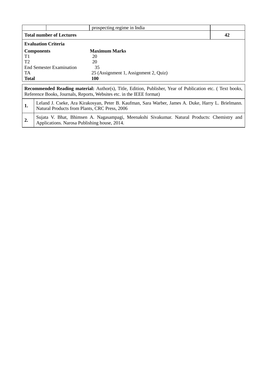|                  |                                               | prospecting regime in India                                                                                                                                                               |    |
|------------------|-----------------------------------------------|-------------------------------------------------------------------------------------------------------------------------------------------------------------------------------------------|----|
|                  | <b>Total number of Lectures</b>               |                                                                                                                                                                                           | 42 |
|                  | <b>Evaluation Criteria</b>                    |                                                                                                                                                                                           |    |
|                  | <b>Components</b>                             | <b>Maximum Marks</b>                                                                                                                                                                      |    |
| T1               |                                               | 20                                                                                                                                                                                        |    |
| T <sub>2</sub>   |                                               | 20                                                                                                                                                                                        |    |
|                  | <b>End Semester Examination</b>               | 35                                                                                                                                                                                        |    |
| TA.              |                                               | 25 (Assignment 1, Assignment 2, Quiz)                                                                                                                                                     |    |
| <b>Total</b>     |                                               | <b>100</b>                                                                                                                                                                                |    |
|                  |                                               | <b>Recommended Reading material:</b> Author(s), Title, Edition, Publisher, Year of Publication etc. (Text books,<br>Reference Books, Journals, Reports, Websites etc. in the IEEE format) |    |
| 1.               | Natural Products from Plants, CRC Press, 2006 | Leland J. Cseke, Ara Kirakosyan, Peter B. Kaufman, Sara Warber, James A. Duke, Harry L. Brielmann.                                                                                        |    |
| $\overline{2}$ . | Applications. Narosa Publishing house, 2014.  | Sujata V. Bhat, Bhimsen A. Nagasampagi, Meenakshi Sivakumar. Natural Products: Chemistry and                                                                                              |    |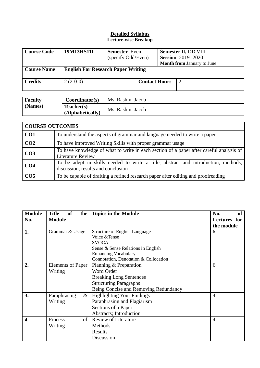| <b>Course Code</b> | 19M13HS111                                | <b>Semester</b> Even |                      | Semester II, DD VIII              |
|--------------------|-------------------------------------------|----------------------|----------------------|-----------------------------------|
|                    |                                           | (specify Odd/Even)   |                      | <b>Session</b> 2019 -2020         |
|                    |                                           |                      |                      | <b>Month from January to June</b> |
| <b>Course Name</b> | <b>English For Research Paper Writing</b> |                      |                      |                                   |
| <b>Credits</b>     | $2(2-0-0)$                                |                      | <b>Contact Hours</b> |                                   |

| <b>Faculty</b> | Coordinator(s)                 | Ms. Rashmi Jacob |
|----------------|--------------------------------|------------------|
| (Names)        | Teacher(s)<br>(Alphabetically) | Ms. Rashmi Jacob |

|                 | <b>COURSE OUTCOMES</b>                                                                                                     |  |  |  |  |  |
|-----------------|----------------------------------------------------------------------------------------------------------------------------|--|--|--|--|--|
| CO <sub>1</sub> | To understand the aspects of grammar and language needed to write a paper.                                                 |  |  |  |  |  |
| CO <sub>2</sub> | To have improved Writing Skills with proper grammar usage                                                                  |  |  |  |  |  |
| CO <sub>3</sub> | To have knowledge of what to write in each section of a paper after careful analysis of<br><b>Literature Review</b>        |  |  |  |  |  |
| CO <sub>4</sub> | To be adept in skills needed to write a title, abstract and introduction, methods,  <br>discussion, results and conclusion |  |  |  |  |  |
| CO <sub>5</sub> | To be capable of drafting a refined research paper after editing and proofreading                                          |  |  |  |  |  |

| <b>Module</b>    | <b>Title</b><br><b>of</b><br>the | <b>Topics in the Module</b>           | No.<br><b>of</b> |
|------------------|----------------------------------|---------------------------------------|------------------|
| No.              | <b>Module</b>                    |                                       | Lectures for     |
|                  |                                  |                                       | the module       |
| 1.               | Grammar & Usage                  | Structure of English Language         | 6                |
|                  |                                  | Voice & Tense                         |                  |
|                  |                                  | <b>SVOCA</b>                          |                  |
|                  |                                  | Sense & Sense Relations in English    |                  |
|                  |                                  | <b>Enhancing Vocabulary</b>           |                  |
|                  |                                  | Connotation, Denotation & Collocation |                  |
| 2.               | <b>Elements of Paper</b>         | Planning & Preparation                | 6                |
|                  | Writing                          | Word Order                            |                  |
|                  |                                  | <b>Breaking Long Sentences</b>        |                  |
|                  |                                  | <b>Structuring Paragraphs</b>         |                  |
|                  |                                  | Being Concise and Removing Redundancy |                  |
| 3.               | $\&$<br>Paraphrasing             | <b>Highlighting Your Findings</b>     | $\overline{4}$   |
|                  | Writing                          | Paraphrasing and Plagiarism           |                  |
|                  |                                  | Sections of a Paper                   |                  |
|                  |                                  | Abstracts; Introduction               |                  |
| $\overline{4}$ . | $\sigma$<br>Process              | <b>Review of Literature</b>           | $\overline{4}$   |
|                  | Writing                          | Methods                               |                  |
|                  |                                  | Results                               |                  |
|                  |                                  | Discussion                            |                  |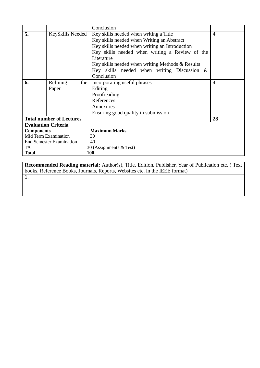|                   |                                 | Conclusion                                       |                |
|-------------------|---------------------------------|--------------------------------------------------|----------------|
| 5.                | KeySkills Needed                | Key skills needed when writing a Title           | $\overline{4}$ |
|                   |                                 | Key skills needed when Writing an Abstract       |                |
|                   |                                 | Key skills needed when writing an Introduction   |                |
|                   |                                 | Key skills needed when writing a Review of the   |                |
|                   |                                 | Literature                                       |                |
|                   |                                 | Key skills needed when writing Methods & Results |                |
|                   |                                 | Key skills needed when writing Discussion $\&$   |                |
|                   |                                 | Conclusion                                       |                |
| 6.                | Refining<br>the                 | Incorporating useful phrases                     | 4              |
|                   | Paper                           | Editing                                          |                |
|                   |                                 | Proofreading                                     |                |
|                   |                                 | References                                       |                |
|                   |                                 | Annexures                                        |                |
|                   |                                 | Ensuring good quality in submission              |                |
|                   | <b>Total number of Lectures</b> |                                                  | 28             |
|                   | <b>Evaluation Criteria</b>      |                                                  |                |
| <b>Components</b> |                                 | <b>Maximum Marks</b>                             |                |
|                   | Mid Term Examination            | 30                                               |                |
|                   | <b>End Semester Examination</b> | 40                                               |                |
| TA                |                                 | 30 (Assignments & Test)                          |                |
| <b>Total</b>      |                                 | 100                                              |                |

**Recommended Reading material:** Author(s), Title, Edition, Publisher, Year of Publication etc. ( Text books, Reference Books, Journals, Reports, Websites etc. in the IEEE format)

1.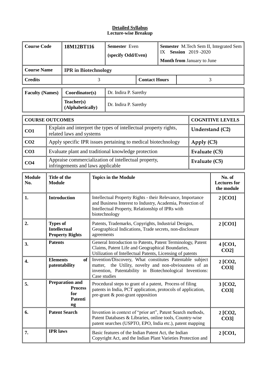|                                                  | <b>Course Code</b><br>Semester Even<br>18M12BT116<br><b>Semester</b> M.Tech Sem II, Integrated Sem<br><b>Session</b> 2019-2020<br>IX<br>(specify Odd/Even)<br><b>Month from January to June</b>                                   |                                                                                                                                                                                                                                          |                             |                                                                                                                                                                                     |                    |                    |                                             |                 |                         |
|--------------------------------------------------|-----------------------------------------------------------------------------------------------------------------------------------------------------------------------------------------------------------------------------------|------------------------------------------------------------------------------------------------------------------------------------------------------------------------------------------------------------------------------------------|-----------------------------|-------------------------------------------------------------------------------------------------------------------------------------------------------------------------------------|--------------------|--------------------|---------------------------------------------|-----------------|-------------------------|
| <b>Course Name</b>                               |                                                                                                                                                                                                                                   | <b>IPR</b> in Biotechnology                                                                                                                                                                                                              |                             |                                                                                                                                                                                     |                    |                    |                                             |                 |                         |
| 3<br><b>Contact Hours</b><br><b>Credits</b><br>3 |                                                                                                                                                                                                                                   |                                                                                                                                                                                                                                          |                             |                                                                                                                                                                                     |                    |                    |                                             |                 |                         |
| <b>Faculty (Names)</b>                           |                                                                                                                                                                                                                                   | Coordinator(s)                                                                                                                                                                                                                           |                             | Dr. Indira P. Sarethy                                                                                                                                                               |                    |                    |                                             |                 |                         |
|                                                  |                                                                                                                                                                                                                                   | Teacher(s)<br>(Alphabetically)                                                                                                                                                                                                           |                             | Dr. Indira P. Sarethy                                                                                                                                                               |                    |                    |                                             |                 |                         |
| <b>COURSE OUTCOMES</b>                           |                                                                                                                                                                                                                                   |                                                                                                                                                                                                                                          |                             |                                                                                                                                                                                     |                    |                    |                                             |                 | <b>COGNITIVE LEVELS</b> |
| CO1                                              |                                                                                                                                                                                                                                   | related laws and systems                                                                                                                                                                                                                 |                             | Explain and interpret the types of intellectual property rights,                                                                                                                    |                    |                    |                                             | Understand (C2) |                         |
| CO <sub>2</sub>                                  |                                                                                                                                                                                                                                   |                                                                                                                                                                                                                                          |                             | Apply specific IPR issues pertaining to medical biotechnology                                                                                                                       |                    |                    |                                             | Apply (C3)      |                         |
| CO <sub>3</sub>                                  |                                                                                                                                                                                                                                   |                                                                                                                                                                                                                                          |                             | Evaluate plant and traditional knowledge protection                                                                                                                                 |                    |                    |                                             | Evaluate $(C5)$ |                         |
| CO <sub>4</sub>                                  |                                                                                                                                                                                                                                   | infringements and laws applicable                                                                                                                                                                                                        |                             | Appraise commercialization of intellectual property,                                                                                                                                |                    |                    |                                             | Evaluate $(C5)$ |                         |
| <b>Module</b><br>No.                             | Title of the<br><b>Module</b>                                                                                                                                                                                                     |                                                                                                                                                                                                                                          | <b>Topics in the Module</b> |                                                                                                                                                                                     |                    |                    | No. of<br><b>Lectures</b> for<br>the module |                 |                         |
| 1.                                               | <b>Introduction</b><br>Intellectual Property Rights - their Relevance, Importance<br>and Business Interest to Industry, Academia, Protection of<br>Intellectual Property, Relationship of IPRs with<br>biotechnology              |                                                                                                                                                                                                                                          |                             | $2$ [CO1]                                                                                                                                                                           |                    |                    |                                             |                 |                         |
| 2.                                               | <b>Types of</b><br><b>Intellectual</b><br><b>Property Rights</b>                                                                                                                                                                  |                                                                                                                                                                                                                                          |                             | Patents, Trademarks, Copyrights, Industrial Designs,<br>Geographical Indications, Trade secrets, non-disclosure<br>agreements                                                       |                    |                    |                                             | 2 [CO1]         |                         |
| 3.                                               | <b>Patents</b>                                                                                                                                                                                                                    |                                                                                                                                                                                                                                          |                             | General Introduction to Patents, Patent Terminology, Patent<br>Claims, Patent Life and Geographical Boundaries,<br>Utilization of Intellectual Patents, Licensing of patents        |                    |                    |                                             |                 | 4 [CO1,<br>$CO2$ ]      |
| 4.                                               |                                                                                                                                                                                                                                   | Invention/Discovery, What constitutes Patentable subject<br><b>Elements</b><br>of<br>matter, the Utility, novelty and non-obviousness of an<br>patentability<br>invention, Patentability in Biotechnological Inventions:<br>Case studies |                             |                                                                                                                                                                                     |                    | 2 [CO2,<br>$CO3$ ] |                                             |                 |                         |
| 5.                                               | <b>Preparation and</b><br>Procedural steps to grant of a patent, Process of filing<br><b>Process</b><br>patents in India, PCT application, protocols of application,<br>for<br>pre-grant & post-grant opposition<br>Patenti<br>ng |                                                                                                                                                                                                                                          |                             |                                                                                                                                                                                     | 3 [CO2,<br>$CO3$ ] |                    |                                             |                 |                         |
| 6.                                               |                                                                                                                                                                                                                                   | <b>Patent Search</b>                                                                                                                                                                                                                     |                             | Invention in context of "prior art", Patent Search methods,<br>Patent Databases & Libraries, online tools, Country-wise<br>patent searches (USPTO, EPO, India etc.), patent mapping |                    |                    |                                             |                 | $2$ [CO2,<br>$CO3$ ]    |
| 7.                                               | <b>IPR</b> laws                                                                                                                                                                                                                   |                                                                                                                                                                                                                                          |                             | Basic features of the Indian Patent Act, the Indian<br>Copyright Act, and the Indian Plant Varieties Protection and                                                                 |                    |                    |                                             |                 | 2 [CO1,                 |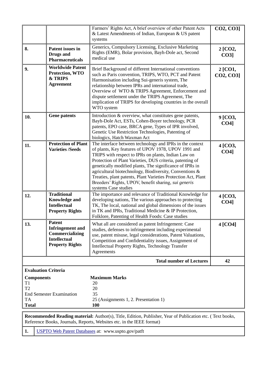|                                                                                                                  |                                                                                                              | Farmers' Rights Act, A brief overview of other Patent Acts<br>& Latest Amendments of Indian, European & US patent<br>systems                                                                                                                                                                                                                                                                                                                                                                                 | CO2, CO3]                  |  |  |  |  |
|------------------------------------------------------------------------------------------------------------------|--------------------------------------------------------------------------------------------------------------|--------------------------------------------------------------------------------------------------------------------------------------------------------------------------------------------------------------------------------------------------------------------------------------------------------------------------------------------------------------------------------------------------------------------------------------------------------------------------------------------------------------|----------------------------|--|--|--|--|
| 8.                                                                                                               | <b>Patent issues in</b><br><b>Drugs</b> and<br><b>Pharmaceuticals</b>                                        | Generics, Compulsory Licensing, Exclusive Marketing<br>Rights (EMR), Bolar provision, Bayh-Dole act, Second<br>medical use                                                                                                                                                                                                                                                                                                                                                                                   | 2 [CO2,<br>$CO3$ ]         |  |  |  |  |
| 9.                                                                                                               | <b>Worldwide Patent</b><br>Protection, WTO<br>& TRIPS<br><b>Agreement</b>                                    | Brief Background of different International conventions<br>such as Paris convention, TRIPS, WTO, PCT and Patent<br>Harmonisation including Sui-generis system, The<br>relationship between IPRs and international trade,<br>Overview of WTO & TRIPS Agreement, Enforcement and<br>dispute settlement under the TRIPS Agreement, The<br>implication of TRIPS for developing countries in the overall<br>WTO system                                                                                            | 2 [CO1,<br>CO2, CO3]       |  |  |  |  |
| 10.                                                                                                              | <b>Gene patents</b>                                                                                          | Introduction & overview, what constitutes gene patents,<br>Bayh-Dole Act, ESTs, Cohen-Boyer technology, PCR<br>patents, EPO case, BRCA gene, Types of IPR involved,<br>Genetic Use Restriction Technologies, Patenting of<br>biologics, Hatch Waxman Act                                                                                                                                                                                                                                                     | 9 [CO3,<br>CO <sub>4</sub> |  |  |  |  |
| 11.                                                                                                              | <b>Protection of Plant</b><br><b>Varieties /Seeds</b>                                                        | The interface between technology and IPRs in the context<br>of plants, Key features of UPOV 1978, UPOV 1991 and<br>TRIPS with respect to IPRs on plants, Indian Law on<br>Protection of Plant Varieties, DUS criteria, patenting of<br>genetically modified plants, The significance of IPRs in<br>agricultural biotechnology, Biodiversity, Conventions &<br>Treaties, plant patents, Plant Varieties Protection Act, Plant<br>Breeders' Rights, UPOV, benefit sharing, sui generis<br>systems Case studies | 4 [CO3,<br>CO <sub>4</sub> |  |  |  |  |
| 12.                                                                                                              | <b>Traditional</b><br><b>Knowledge and</b><br><b>Intellectual</b><br><b>Property Rights</b>                  | The importance and relevance of Traditional Knowledge for<br>developing nations, The various approaches to protecting<br>TK, The local, national and global dimensions of the issues<br>in TK and IPRs, Traditional Medicine & IP Protection,<br>Folklore, Patenting of Health Foods: Case studies                                                                                                                                                                                                           | 4 [CO3,<br>CO <sub>4</sub> |  |  |  |  |
| 13.                                                                                                              | <b>Patent</b><br><b>Infringement</b> and<br>Commercializing<br><b>Intellectual</b><br><b>Property Rights</b> | What all are considered as patent Infringement: Case<br>studies, defenses to infringement including experimental<br>use, patent misuse, legal considerations, Patent Valuations,<br>Competition and Confidentiality issues, Assignment of<br><b>Intellectual Property Rights, Technology Transfer</b><br>Agreements                                                                                                                                                                                          | $4$ [CO4]                  |  |  |  |  |
|                                                                                                                  |                                                                                                              | <b>Total number of Lectures</b>                                                                                                                                                                                                                                                                                                                                                                                                                                                                              | 42                         |  |  |  |  |
| <b>Evaluation Criteria</b><br><b>Components</b><br>T1<br>T <sub>2</sub><br><b>TA</b><br><b>Total</b>             | <b>End Semester Examination</b>                                                                              | <b>Maximum Marks</b><br>20<br>20<br>35<br>25 (Assignments 1, 2. Presentation 1)<br>100                                                                                                                                                                                                                                                                                                                                                                                                                       |                            |  |  |  |  |
| <b>Recommended Reading material:</b> Author(s), Title, Edition, Publisher, Year of Publication etc. (Text books, |                                                                                                              |                                                                                                                                                                                                                                                                                                                                                                                                                                                                                                              |                            |  |  |  |  |

Reference Books, Journals, Reports, Websites etc. in the IEEE format)

1. USPTO [Web Patent Databases](http://www.uspto.gov/patft/) at: www.uspto.gov/patft